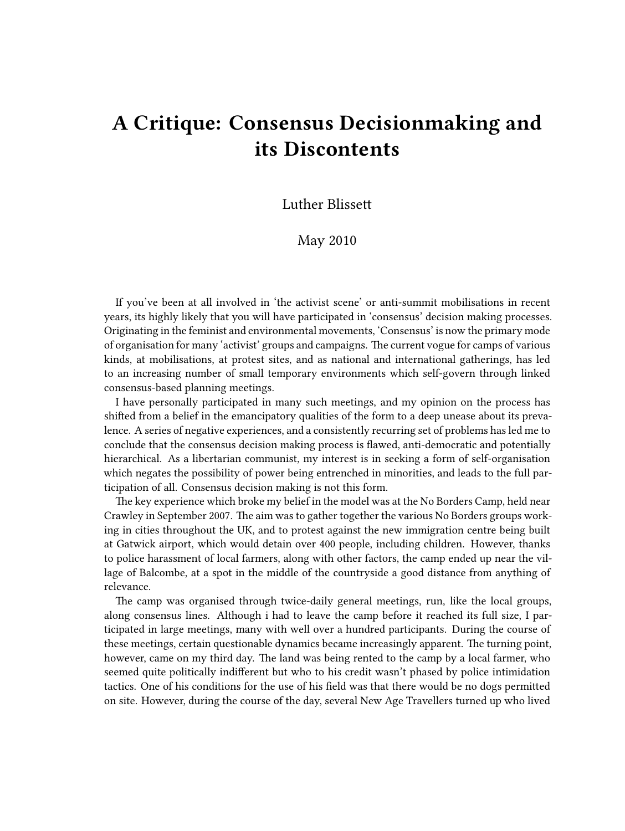## **A Critique: Consensus Decisionmaking and its Discontents**

## Luther Blissett

## May 2010

If you've been at all involved in 'the activist scene' or anti-summit mobilisations in recent years, its highly likely that you will have participated in 'consensus' decision making processes. Originating in the feminist and environmental movements, 'Consensus' is now the primary mode of organisation for many 'activist' groups and campaigns. The current vogue for camps of various kinds, at mobilisations, at protest sites, and as national and international gatherings, has led to an increasing number of small temporary environments which self-govern through linked consensus-based planning meetings.

I have personally participated in many such meetings, and my opinion on the process has shifted from a belief in the emancipatory qualities of the form to a deep unease about its prevalence. A series of negative experiences, and a consistently recurring set of problems has led me to conclude that the consensus decision making process is flawed, anti-democratic and potentially hierarchical. As a libertarian communist, my interest is in seeking a form of self-organisation which negates the possibility of power being entrenched in minorities, and leads to the full participation of all. Consensus decision making is not this form.

The key experience which broke my belief in the model was at the No Borders Camp, held near Crawley in September 2007. The aim was to gather together the various No Borders groups working in cities throughout the UK, and to protest against the new immigration centre being built at Gatwick airport, which would detain over 400 people, including children. However, thanks to police harassment of local farmers, along with other factors, the camp ended up near the village of Balcombe, at a spot in the middle of the countryside a good distance from anything of relevance.

The camp was organised through twice-daily general meetings, run, like the local groups, along consensus lines. Although i had to leave the camp before it reached its full size, I participated in large meetings, many with well over a hundred participants. During the course of these meetings, certain questionable dynamics became increasingly apparent. The turning point, however, came on my third day. The land was being rented to the camp by a local farmer, who seemed quite politically indifferent but who to his credit wasn't phased by police intimidation tactics. One of his conditions for the use of his field was that there would be no dogs permitted on site. However, during the course of the day, several New Age Travellers turned up who lived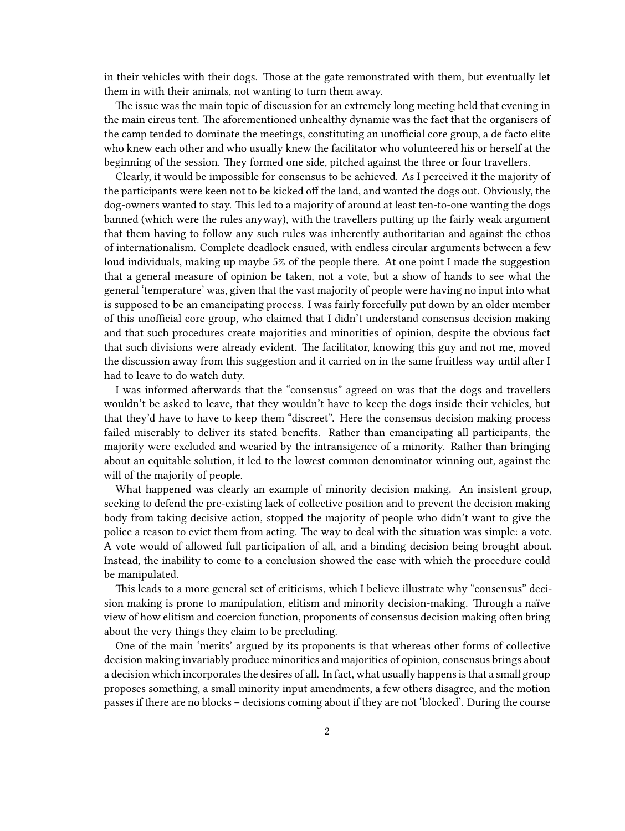in their vehicles with their dogs. Those at the gate remonstrated with them, but eventually let them in with their animals, not wanting to turn them away.

The issue was the main topic of discussion for an extremely long meeting held that evening in the main circus tent. The aforementioned unhealthy dynamic was the fact that the organisers of the camp tended to dominate the meetings, constituting an unofficial core group, a de facto elite who knew each other and who usually knew the facilitator who volunteered his or herself at the beginning of the session. They formed one side, pitched against the three or four travellers.

Clearly, it would be impossible for consensus to be achieved. As I perceived it the majority of the participants were keen not to be kicked off the land, and wanted the dogs out. Obviously, the dog-owners wanted to stay. This led to a majority of around at least ten-to-one wanting the dogs banned (which were the rules anyway), with the travellers putting up the fairly weak argument that them having to follow any such rules was inherently authoritarian and against the ethos of internationalism. Complete deadlock ensued, with endless circular arguments between a few loud individuals, making up maybe 5% of the people there. At one point I made the suggestion that a general measure of opinion be taken, not a vote, but a show of hands to see what the general 'temperature' was, given that the vast majority of people were having no input into what is supposed to be an emancipating process. I was fairly forcefully put down by an older member of this unofficial core group, who claimed that I didn't understand consensus decision making and that such procedures create majorities and minorities of opinion, despite the obvious fact that such divisions were already evident. The facilitator, knowing this guy and not me, moved the discussion away from this suggestion and it carried on in the same fruitless way until after I had to leave to do watch duty.

I was informed afterwards that the "consensus" agreed on was that the dogs and travellers wouldn't be asked to leave, that they wouldn't have to keep the dogs inside their vehicles, but that they'd have to have to keep them "discreet". Here the consensus decision making process failed miserably to deliver its stated benefits. Rather than emancipating all participants, the majority were excluded and wearied by the intransigence of a minority. Rather than bringing about an equitable solution, it led to the lowest common denominator winning out, against the will of the majority of people.

What happened was clearly an example of minority decision making. An insistent group, seeking to defend the pre-existing lack of collective position and to prevent the decision making body from taking decisive action, stopped the majority of people who didn't want to give the police a reason to evict them from acting. The way to deal with the situation was simple: a vote. A vote would of allowed full participation of all, and a binding decision being brought about. Instead, the inability to come to a conclusion showed the ease with which the procedure could be manipulated.

This leads to a more general set of criticisms, which I believe illustrate why "consensus" decision making is prone to manipulation, elitism and minority decision-making. Through a naïve view of how elitism and coercion function, proponents of consensus decision making often bring about the very things they claim to be precluding.

One of the main 'merits' argued by its proponents is that whereas other forms of collective decision making invariably produce minorities and majorities of opinion, consensus brings about a decision which incorporates the desires of all. In fact, what usually happens is that a small group proposes something, a small minority input amendments, a few others disagree, and the motion passes if there are no blocks – decisions coming about if they are not 'blocked'. During the course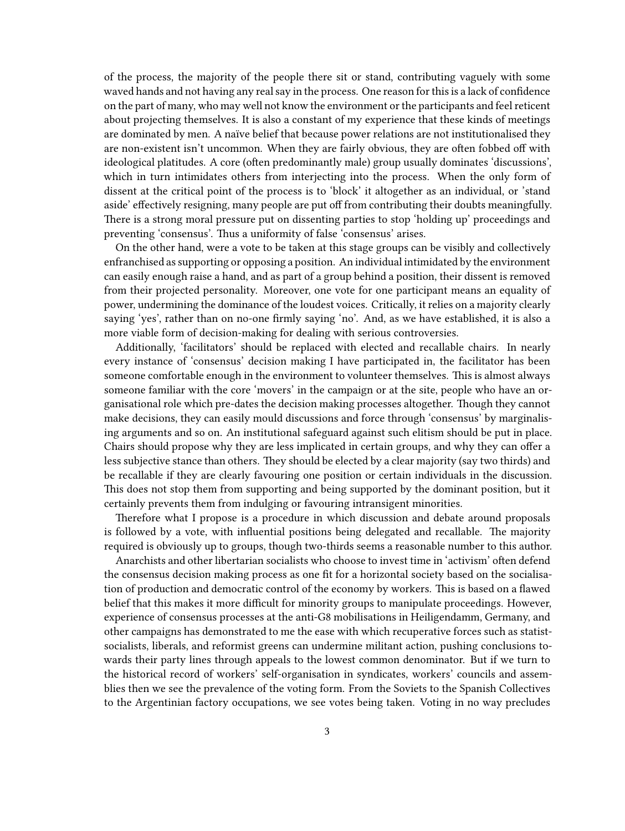of the process, the majority of the people there sit or stand, contributing vaguely with some waved hands and not having any real say in the process. One reason for this is a lack of confidence on the part of many, who may well not know the environment or the participants and feel reticent about projecting themselves. It is also a constant of my experience that these kinds of meetings are dominated by men. A naïve belief that because power relations are not institutionalised they are non-existent isn't uncommon. When they are fairly obvious, they are often fobbed off with ideological platitudes. A core (often predominantly male) group usually dominates 'discussions', which in turn intimidates others from interjecting into the process. When the only form of dissent at the critical point of the process is to 'block' it altogether as an individual, or 'stand aside' effectively resigning, many people are put off from contributing their doubts meaningfully. There is a strong moral pressure put on dissenting parties to stop 'holding up' proceedings and preventing 'consensus'. Thus a uniformity of false 'consensus' arises.

On the other hand, were a vote to be taken at this stage groups can be visibly and collectively enfranchised as supporting or opposing a position. An individual intimidated by the environment can easily enough raise a hand, and as part of a group behind a position, their dissent is removed from their projected personality. Moreover, one vote for one participant means an equality of power, undermining the dominance of the loudest voices. Critically, it relies on a majority clearly saying 'yes', rather than on no-one firmly saying 'no'. And, as we have established, it is also a more viable form of decision-making for dealing with serious controversies.

Additionally, 'facilitators' should be replaced with elected and recallable chairs. In nearly every instance of 'consensus' decision making I have participated in, the facilitator has been someone comfortable enough in the environment to volunteer themselves. This is almost always someone familiar with the core 'movers' in the campaign or at the site, people who have an organisational role which pre-dates the decision making processes altogether. Though they cannot make decisions, they can easily mould discussions and force through 'consensus' by marginalising arguments and so on. An institutional safeguard against such elitism should be put in place. Chairs should propose why they are less implicated in certain groups, and why they can offer a less subjective stance than others. They should be elected by a clear majority (say two thirds) and be recallable if they are clearly favouring one position or certain individuals in the discussion. This does not stop them from supporting and being supported by the dominant position, but it certainly prevents them from indulging or favouring intransigent minorities.

Therefore what I propose is a procedure in which discussion and debate around proposals is followed by a vote, with influential positions being delegated and recallable. The majority required is obviously up to groups, though two-thirds seems a reasonable number to this author.

Anarchists and other libertarian socialists who choose to invest time in 'activism' often defend the consensus decision making process as one fit for a horizontal society based on the socialisation of production and democratic control of the economy by workers. This is based on a flawed belief that this makes it more difficult for minority groups to manipulate proceedings. However, experience of consensus processes at the anti-G8 mobilisations in Heiligendamm, Germany, and other campaigns has demonstrated to me the ease with which recuperative forces such as statistsocialists, liberals, and reformist greens can undermine militant action, pushing conclusions towards their party lines through appeals to the lowest common denominator. But if we turn to the historical record of workers' self-organisation in syndicates, workers' councils and assemblies then we see the prevalence of the voting form. From the Soviets to the Spanish Collectives to the Argentinian factory occupations, we see votes being taken. Voting in no way precludes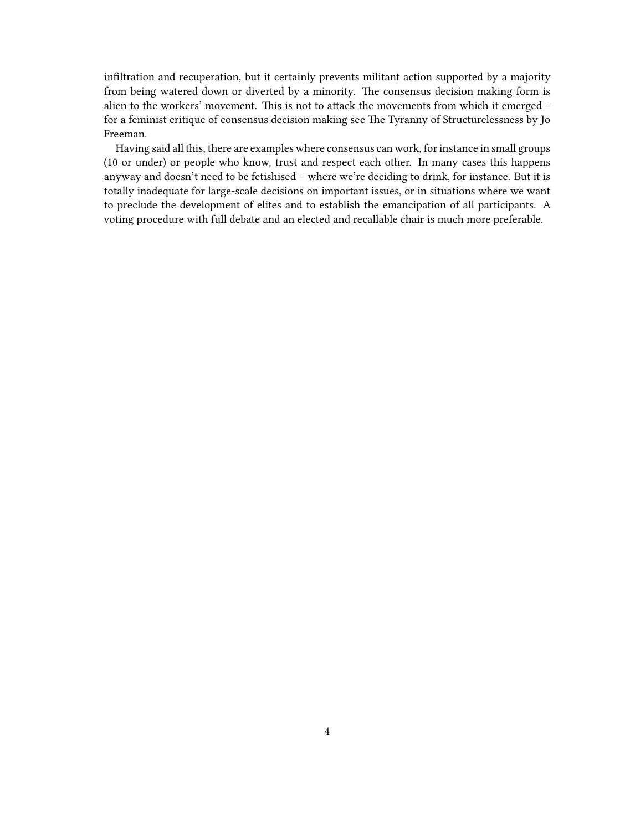infiltration and recuperation, but it certainly prevents militant action supported by a majority from being watered down or diverted by a minority. The consensus decision making form is alien to the workers' movement. This is not to attack the movements from which it emerged – for a feminist critique of consensus decision making see The Tyranny of Structurelessness by Jo Freeman.

Having said all this, there are examples where consensus can work, for instance in small groups (10 or under) or people who know, trust and respect each other. In many cases this happens anyway and doesn't need to be fetishised – where we're deciding to drink, for instance. But it is totally inadequate for large-scale decisions on important issues, or in situations where we want to preclude the development of elites and to establish the emancipation of all participants. A voting procedure with full debate and an elected and recallable chair is much more preferable.